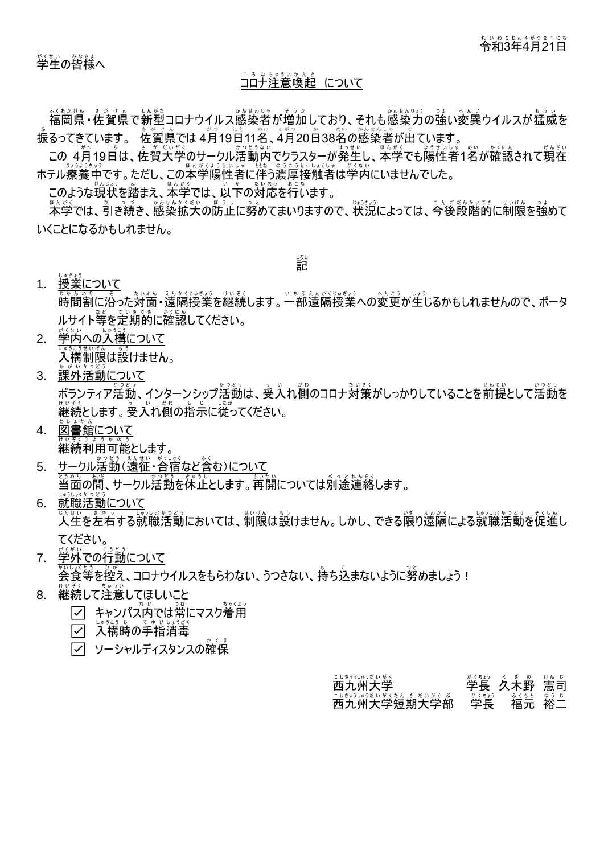# 令和 れいわ 3 3 年 ね ん 4 4 月 が つ 21 2 1 日 に ち

## <u>ころなものかんき</u><br><u>コロナ注意喚起 について</u>

福岡県 ふ く お か け ん ・佐賀県 さ が け ん で新型 し ん が た コロナウイルス感染者 か ん せ ん し ゃ が増加 ぞ う か しており、それも感染力 か ん せ ん り ょ く の強い つ よ 変異 へんい ウイルスが猛威 も う い を 。<br>振るってきています。 佐賀県では4月19日11名、4月20日38名の感染者が出ています。

この 4月19日は、、佐賀大学のサークル活動内でクラスターが発生し、本学でも陽性者1名が確認されて現在 ホテル療養中です。ただし、この本学陽性者に伴う濃厚接触者は学内にいませんでした。

このような現状を踏まえ、ホボッジでは、以下の対応を行います。

<u>まんな</u><br>本学では、引き続き、感染拡大の防止に努めてまいりますので、状況によっては、今後段階的に制限を強めて いくことになるかもしれません。

記 しるし

1. <u>授業について</u>

<u>ょ。。。。</u><br>時間割に沿った対面・遠隔授業を継続します。一部遠隔授業への変更が生じるかもしれませんので、ポータ ルサイト等を定期的に確認してください。

- 2. <u>学内への入構について</u> <u>。。。。。。。。。</u><br>入構制限は設けません。
- 3. <u>課外活動について</u> ボランティア活動、インターンシップ活動は、受入れ側のコロナ対策がしっかりしていることを前提として活動を …。<br>継続とします。 受入れ衝の指示に従ってください。
- 4. <u>図書館について</u> <sub>ゖぃぇくヮょぅゕ</sub>。ぅ<br>継続利用可能とします。
- 5. <u>サークル活動(遠征・谷宿など含む)について</u> ときぬん。献、<br>当面の間、サークル活動を休止とします。再開については別途連絡します。
- 6. <u>就職活動について</u> じんせい きょ。う<br>人生を左右する就職活動においては、制限は設けません。しかし、できる限り遠隔による就職活動を促進し てください。<br><sub>がくがい</sub>
- 7. <u>学外での行動について</u> \*^\\^\\\`}<br>会食等を控え、コロナウイルスをもらわない、うつさない、持ち込まないように努めましょう!
- 8. <u>継続して注意してほしいこと</u> ☑ キャンパズ内では常にマスク着用
	- □ 入構時の手指消毒
	- ソーシャルディスタンスの確保

#### 。<br>西九州大学 くちゃく 学長 久木野 が く ちょう く ぎ の 憲 司 け ん じ 西 に し 九 きゅう 州 し ゅ う 大 だ い 学 が く 短 た ん 期 き 大 だ い 学 が く 部 ぶ ー<br>学長 - ^ 着元<br>福元 。<br>裕二